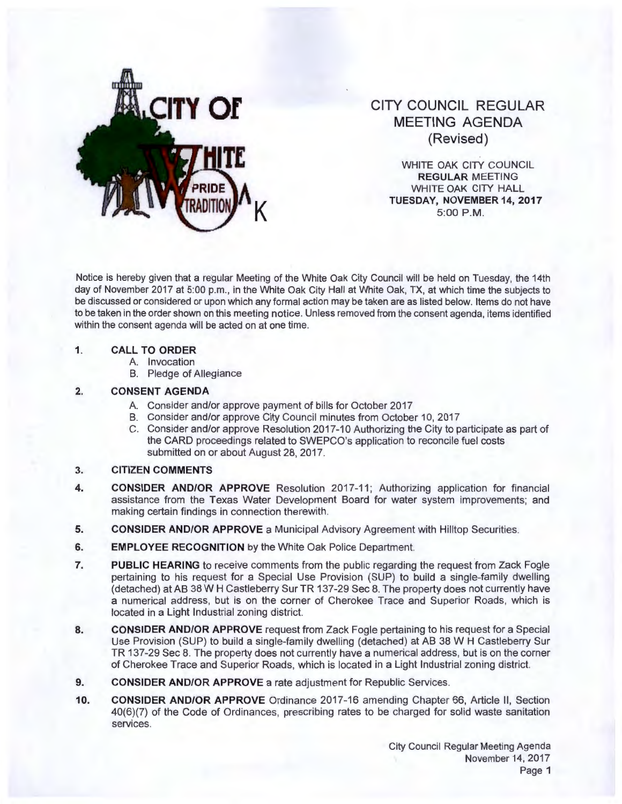

# **CITY COUNCIL REGULAR MEETING AGENDA (Revised)**

WHITE OAK CITY COUNCIL **REGULAR** MEETING WHITE OAK CITY HALL **TUESDAY, NOVEMBER 14, 2017** 5:00 P.M.

Notice is hereby given that a regular Meeting of the White Oak City Council will be held on Tuesday, the 14th day of November 2017 at 5:00 p.m., in the White Oak City Hall at White Oak, TX, at which time the subjects to be discussed or considered or upon which any formal action may be taken are as listed below. Items do not have to be taken in the order shown on this meeting notice. Unless removed from the consent agenda, items identified within the consent agenda will be acted on at one time.

### **1. CALL TO ORDER**

- A. Invocation
- B. Pledge of Allegiance

## **2. CONSENT AGENDA**

- A. Consider and/or approve payment of bills for October 2017
- B. Consider and/or approve City Council minutes from October 10, 2017
- C. Consider and/or approve Resolution 2017-10 Authorizing the City to participate as part of the CARD proceedings related to SWEPCO's application to reconcile fuel costs submitted on or about August 28, 2017.
- **3. CITIZEN COMMENTS**
- **4. CONSIDER AND/OR APPROVE** Resolution 2017-11 ; Authorizing application for financial assistance from the Texas Water Development Board for water system improvements; and making certain findings in connection therewith.
- **5. CONSIDER AND/OR APPROVE** a Municipal Advisory Agreement with Hilltop Securities.
- **6.** EMPLOYEE RECOGNITION by the White Oak Police Department.
- **7. PUBLIC HEARING** to receive comments from the public regarding the request from Zack Fogle pertaining to his request for a Special Use Provision (SUP) to build a single-family dwelling (detached) at AB 38 W H Castleberry Sur TR 137-29 Sec 8. The property does not currently have a numerical address, but is on the corner of Cherokee Trace and Superior Roads, which is located in a Light Industrial zoning district.
- **8. CONSIDER AND/OR APPROVE** request from Zack Fogle pertaining to his request for a Special Use Provision (SUP) to build a single-family dwelling (detached) at AB 38 W H Castleberry Sur TR 137-29 Sec 8. The property does not currently have a numerical address, but is on the corner of Cherokee Trace and Superior Roads, which is located in a Light Industrial zoning district.
- **9. CONSIDER AND/OR APPROVE** a rate adjustment for Republic Services.
- 10. CONSIDER AND/OR APPROVE Ordinance 2017-16 amending Chapter 66, Article II, Section 40(6)(7) of the Code of Ordinances, prescribing rates to be charged for solid waste sanitation services.